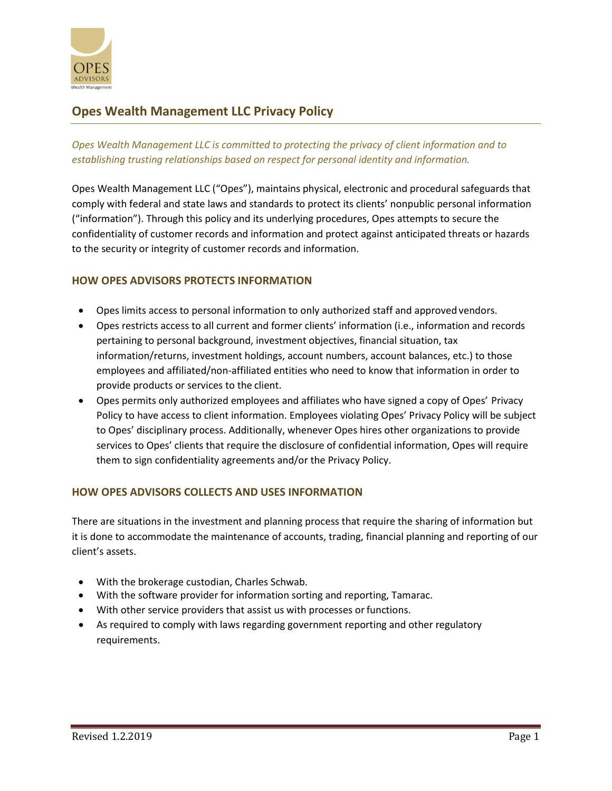

# **Opes Wealth Management LLC Privacy Policy**

*Opes Wealth Management LLC is committed to protecting the privacy of client information and to establishing trusting relationships based on respect for personal identity and information.*

Opes Wealth Management LLC ("Opes"), maintains physical, electronic and procedural safeguards that comply with federal and state laws and standards to protect its clients' nonpublic personal information ("information"). Through this policy and its underlying procedures, Opes attempts to secure the confidentiality of customer records and information and protect against anticipated threats or hazards to the security or integrity of customer records and information.

## **HOW OPES ADVISORS PROTECTS INFORMATION**

- Opes limits access to personal information to only authorized staff and approved vendors.
- Opes restricts access to all current and former clients' information (i.e., information and records pertaining to personal background, investment objectives, financial situation, tax information/returns, investment holdings, account numbers, account balances, etc.) to those employees and affiliated/non-affiliated entities who need to know that information in order to provide products or services to the client.
- Opes permits only authorized employees and affiliates who have signed a copy of Opes' Privacy Policy to have access to client information. Employees violating Opes' Privacy Policy will be subject to Opes' disciplinary process. Additionally, whenever Opes hires other organizations to provide services to Opes' clients that require the disclosure of confidential information, Opes will require them to sign confidentiality agreements and/or the Privacy Policy.

## **HOW OPES ADVISORS COLLECTS AND USES INFORMATION**

There are situations in the investment and planning process that require the sharing of information but it is done to accommodate the maintenance of accounts, trading, financial planning and reporting of our client's assets.

- With the brokerage custodian, Charles Schwab.
- With the software provider for information sorting and reporting, Tamarac.
- With other service providers that assist us with processes or functions.
- As required to comply with laws regarding government reporting and other regulatory requirements.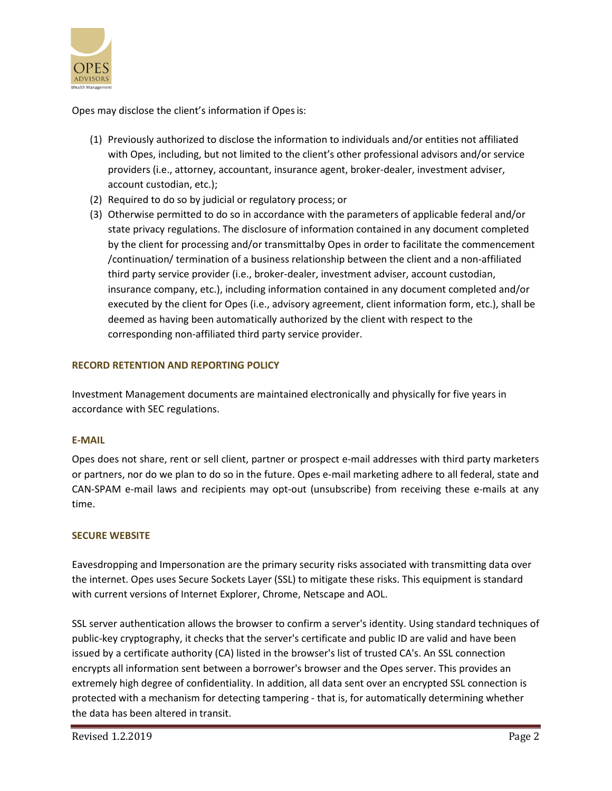

Opes may disclose the client's information if Opesis:

- (1) Previously authorized to disclose the information to individuals and/or entities not affiliated with Opes, including, but not limited to the client's other professional advisors and/or service providers (i.e., attorney, accountant, insurance agent, broker-dealer, investment adviser, account custodian, etc.);
- (2) Required to do so by judicial or regulatory process; or
- (3) Otherwise permitted to do so in accordance with the parameters of applicable federal and/or state privacy regulations. The disclosure of information contained in any document completed by the client for processing and/or transmittalby Opes in order to facilitate the commencement /continuation/ termination of a business relationship between the client and a non-affiliated third party service provider (i.e., broker-dealer, investment adviser, account custodian, insurance company, etc.), including information contained in any document completed and/or executed by the client for Opes (i.e., advisory agreement, client information form, etc.), shall be deemed as having been automatically authorized by the client with respect to the corresponding non-affiliated third party service provider.

#### **RECORD RETENTION AND REPORTING POLICY**

Investment Management documents are maintained electronically and physically for five years in accordance with SEC regulations.

#### **E-MAIL**

Opes does not share, rent or sell client, partner or prospect e-mail addresses with third party marketers or partners, nor do we plan to do so in the future. Opes e-mail marketing adhere to all federal, state and CAN-SPAM e-mail laws and recipients may opt-out (unsubscribe) from receiving these e-mails at any time.

#### **SECURE WEBSITE**

Eavesdropping and Impersonation are the primary security risks associated with transmitting data over the internet. Opes uses Secure Sockets Layer (SSL) to mitigate these risks. This equipment is standard with current versions of Internet Explorer, Chrome, Netscape and AOL.

SSL server authentication allows the browser to confirm a server's identity. Using standard techniques of public-key cryptography, it checks that the server's certificate and public ID are valid and have been issued by a certificate authority (CA) listed in the browser's list of trusted CA's. An SSL connection encrypts all information sent between a borrower's browser and the Opes server. This provides an extremely high degree of confidentiality. In addition, all data sent over an encrypted SSL connection is protected with a mechanism for detecting tampering - that is, for automatically determining whether the data has been altered in transit.